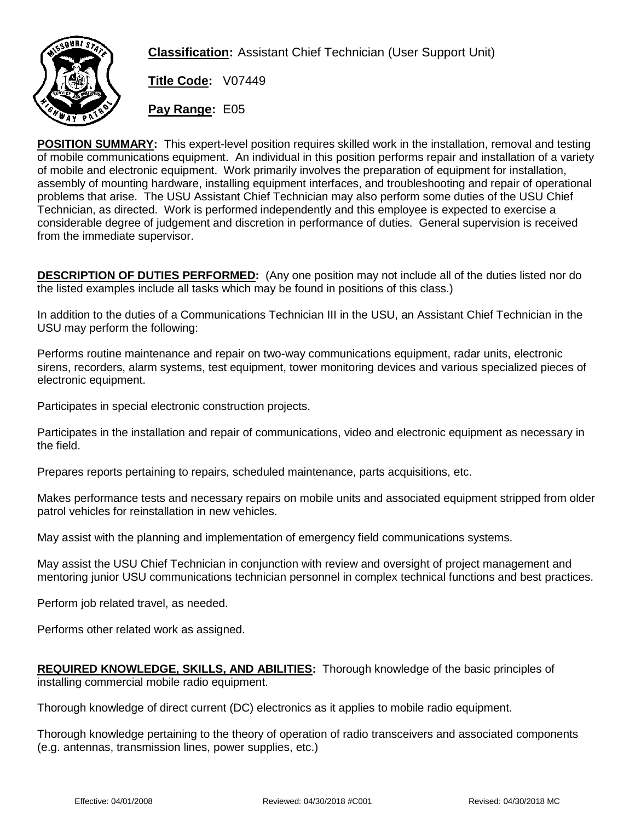

**Classification:** Assistant Chief Technician (User Support Unit)

**Title Code:** V07449

**Pay Range:** E05

**POSITION SUMMARY:** This expert-level position requires skilled work in the installation, removal and testing of mobile communications equipment. An individual in this position performs repair and installation of a variety of mobile and electronic equipment. Work primarily involves the preparation of equipment for installation, assembly of mounting hardware, installing equipment interfaces, and troubleshooting and repair of operational problems that arise. The USU Assistant Chief Technician may also perform some duties of the USU Chief Technician, as directed. Work is performed independently and this employee is expected to exercise a considerable degree of judgement and discretion in performance of duties. General supervision is received from the immediate supervisor.

**DESCRIPTION OF DUTIES PERFORMED:** (Any one position may not include all of the duties listed nor do the listed examples include all tasks which may be found in positions of this class.)

In addition to the duties of a Communications Technician III in the USU, an Assistant Chief Technician in the USU may perform the following:

Performs routine maintenance and repair on two-way communications equipment, radar units, electronic sirens, recorders, alarm systems, test equipment, tower monitoring devices and various specialized pieces of electronic equipment.

Participates in special electronic construction projects.

Participates in the installation and repair of communications, video and electronic equipment as necessary in the field.

Prepares reports pertaining to repairs, scheduled maintenance, parts acquisitions, etc.

Makes performance tests and necessary repairs on mobile units and associated equipment stripped from older patrol vehicles for reinstallation in new vehicles.

May assist with the planning and implementation of emergency field communications systems.

May assist the USU Chief Technician in conjunction with review and oversight of project management and mentoring junior USU communications technician personnel in complex technical functions and best practices.

Perform job related travel, as needed.

Performs other related work as assigned.

**REQUIRED KNOWLEDGE, SKILLS, AND ABILITIES:** Thorough knowledge of the basic principles of installing commercial mobile radio equipment.

Thorough knowledge of direct current (DC) electronics as it applies to mobile radio equipment.

Thorough knowledge pertaining to the theory of operation of radio transceivers and associated components (e.g. antennas, transmission lines, power supplies, etc.)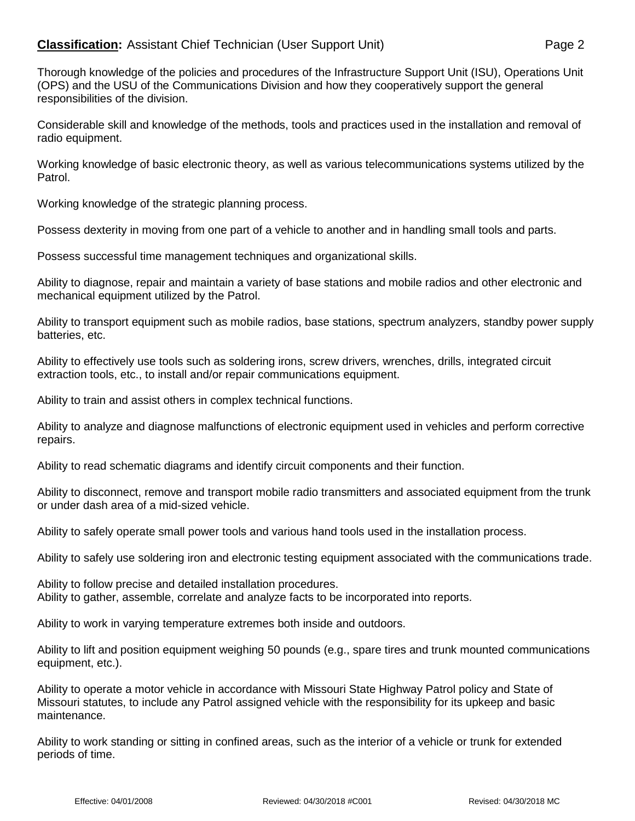## **Classification:** Assistant Chief Technician (User Support Unit) Page 2

Thorough knowledge of the policies and procedures of the Infrastructure Support Unit (ISU), Operations Unit (OPS) and the USU of the Communications Division and how they cooperatively support the general responsibilities of the division.

Considerable skill and knowledge of the methods, tools and practices used in the installation and removal of radio equipment.

Working knowledge of basic electronic theory, as well as various telecommunications systems utilized by the Patrol.

Working knowledge of the strategic planning process.

Possess dexterity in moving from one part of a vehicle to another and in handling small tools and parts.

Possess successful time management techniques and organizational skills.

Ability to diagnose, repair and maintain a variety of base stations and mobile radios and other electronic and mechanical equipment utilized by the Patrol.

Ability to transport equipment such as mobile radios, base stations, spectrum analyzers, standby power supply batteries, etc.

Ability to effectively use tools such as soldering irons, screw drivers, wrenches, drills, integrated circuit extraction tools, etc., to install and/or repair communications equipment.

Ability to train and assist others in complex technical functions.

Ability to analyze and diagnose malfunctions of electronic equipment used in vehicles and perform corrective repairs.

Ability to read schematic diagrams and identify circuit components and their function.

Ability to disconnect, remove and transport mobile radio transmitters and associated equipment from the trunk or under dash area of a mid-sized vehicle.

Ability to safely operate small power tools and various hand tools used in the installation process.

Ability to safely use soldering iron and electronic testing equipment associated with the communications trade.

Ability to follow precise and detailed installation procedures. Ability to gather, assemble, correlate and analyze facts to be incorporated into reports.

Ability to work in varying temperature extremes both inside and outdoors.

Ability to lift and position equipment weighing 50 pounds (e.g., spare tires and trunk mounted communications equipment, etc.).

Ability to operate a motor vehicle in accordance with Missouri State Highway Patrol policy and State of Missouri statutes, to include any Patrol assigned vehicle with the responsibility for its upkeep and basic maintenance.

Ability to work standing or sitting in confined areas, such as the interior of a vehicle or trunk for extended periods of time.